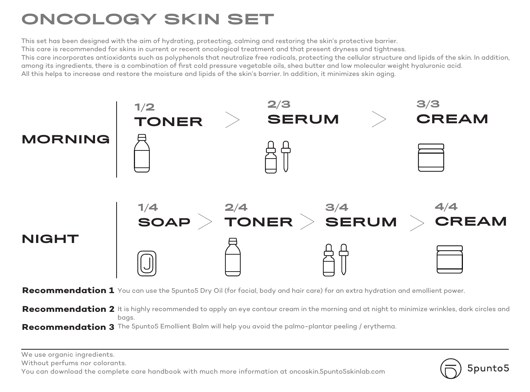# ONCOLOGY SKIN SET

This set has been designed with the aim of hydrating, protecting, calming and restoring the skin's protective barrier. This care is recommended for skins in current or recent oncological treatment and that present dryness and tightness. This care incorporates antioxidants such as polyphenols that neutralize free radicals, protecting the cellular structure and lipids of the skin. In addition, among its ingredients, there is a combination of first cold pressure vegetable oils, shea butter and low molecular weight hyaluronic acid. All this helps to increase and restore the moisture and lipids of the skin's barrier. In addition, it minimizes skin aging.



**Recommendation 2** It is highly recommended to apply an eye contour cream in the morning and at night to minimize wrinkles, dark circles and bags.

**Recommendation 3** The 5punto5 Emollient Balm will help you avoid the palmo-plantar peeling / erythema.

We use organic ingredients.

Without perfums nor colorants.

You can download the complete care handbook with much more information at oncoskin.5punto5skinlab.com